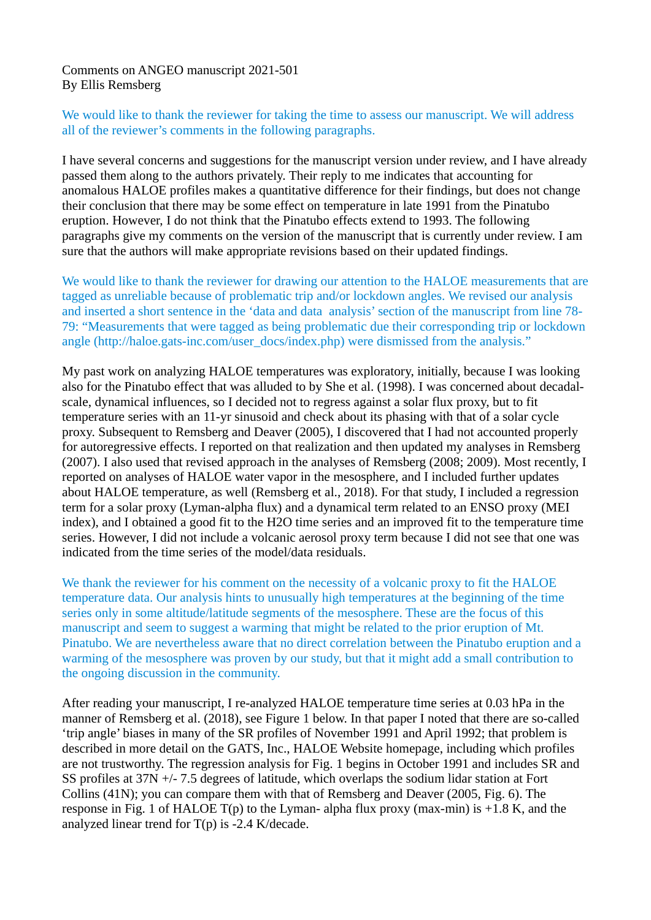Comments on ANGEO manuscript 2021-501 By Ellis Remsberg

We would like to thank the reviewer for taking the time to assess our manuscript. We will address all of the reviewer's comments in the following paragraphs.

I have several concerns and suggestions for the manuscript version under review, and I have already passed them along to the authors privately. Their reply to me indicates that accounting for anomalous HALOE profiles makes a quantitative difference for their findings, but does not change their conclusion that there may be some effect on temperature in late 1991 from the Pinatubo eruption. However, I do not think that the Pinatubo effects extend to 1993. The following paragraphs give my comments on the version of the manuscript that is currently under review. I am sure that the authors will make appropriate revisions based on their updated findings.

We would like to thank the reviewer for drawing our attention to the HALOE measurements that are tagged as unreliable because of problematic trip and/or lockdown angles. We revised our analysis and inserted a short sentence in the 'data and data analysis' section of the manuscript from line 78- 79: "Measurements that were tagged as being problematic due their corresponding trip or lockdown angle (http://haloe.gats-inc.com/user\_docs/index.php) were dismissed from the analysis."

My past work on analyzing HALOE temperatures was exploratory, initially, because I was looking also for the Pinatubo effect that was alluded to by She et al. (1998). I was concerned about decadalscale, dynamical influences, so I decided not to regress against a solar flux proxy, but to fit temperature series with an 11-yr sinusoid and check about its phasing with that of a solar cycle proxy. Subsequent to Remsberg and Deaver (2005), I discovered that I had not accounted properly for autoregressive effects. I reported on that realization and then updated my analyses in Remsberg (2007). I also used that revised approach in the analyses of Remsberg (2008; 2009). Most recently, I reported on analyses of HALOE water vapor in the mesosphere, and I included further updates about HALOE temperature, as well (Remsberg et al., 2018). For that study, I included a regression term for a solar proxy (Lyman-alpha flux) and a dynamical term related to an ENSO proxy (MEI index), and I obtained a good fit to the H2O time series and an improved fit to the temperature time series. However, I did not include a volcanic aerosol proxy term because I did not see that one was indicated from the time series of the model/data residuals.

We thank the reviewer for his comment on the necessity of a volcanic proxy to fit the HALOE temperature data. Our analysis hints to unusually high temperatures at the beginning of the time series only in some altitude/latitude segments of the mesosphere. These are the focus of this manuscript and seem to suggest a warming that might be related to the prior eruption of Mt. Pinatubo. We are nevertheless aware that no direct correlation between the Pinatubo eruption and a warming of the mesosphere was proven by our study, but that it might add a small contribution to the ongoing discussion in the community.

After reading your manuscript, I re-analyzed HALOE temperature time series at 0.03 hPa in the manner of Remsberg et al. (2018), see Figure 1 below. In that paper I noted that there are so-called 'trip angle' biases in many of the SR profiles of November 1991 and April 1992; that problem is described in more detail on the GATS, Inc., HALOE Website homepage, including which profiles are not trustworthy. The regression analysis for Fig. 1 begins in October 1991 and includes SR and SS profiles at 37N +/- 7.5 degrees of latitude, which overlaps the sodium lidar station at Fort Collins (41N); you can compare them with that of Remsberg and Deaver (2005, Fig. 6). The response in Fig. 1 of HALOE  $T(p)$  to the Lyman- alpha flux proxy (max-min) is +1.8 K, and the analyzed linear trend for  $T(p)$  is -2.4 K/decade.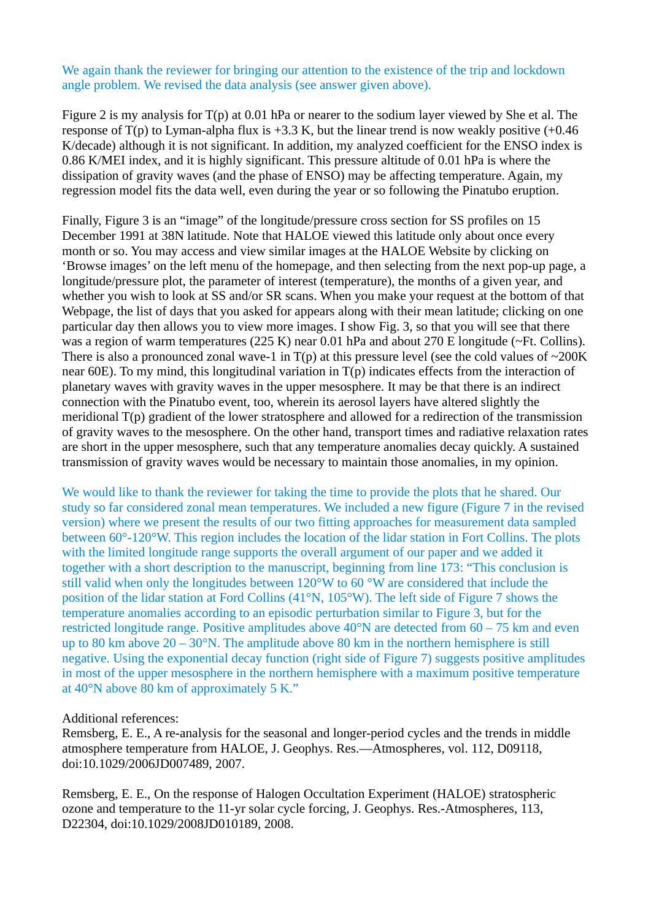We again thank the reviewer for bringing our attention to the existence of the trip and lockdown angle problem. We revised the data analysis (see answer given above).

Figure 2 is my analysis for T(p) at 0.01 hPa or nearer to the sodium layer viewed by She et al. The response of  $T(p)$  to Lyman-alpha flux is +3.3 K, but the linear trend is now weakly positive  $(+0.46)$ K/decade) although it is not significant. In addition, my analyzed coefficient for the ENSO index is 0.86 K/MEI index, and it is highly significant. This pressure altitude of 0.01 hPa is where the dissipation of gravity waves (and the phase of ENSO) may be affecting temperature. Again, my regression model fits the data well, even during the year or so following the Pinatubo eruption.

Finally, Figure 3 is an "image" of the longitude/pressure cross section for SS profiles on 15 December 1991 at 38N latitude. Note that HALOE viewed this latitude only about once every month or so. You may access and view similar images at the HALOE Website by clicking on 'Browse images' on the left menu of the homepage, and then selecting from the next pop-up page, a longitude/pressure plot, the parameter of interest (temperature), the months of a given year, and whether you wish to look at SS and/or SR scans. When you make your request at the bottom of that Webpage, the list of days that you asked for appears along with their mean latitude; clicking on one particular day then allows you to view more images. I show Fig. 3, so that you will see that there was a region of warm temperatures (225 K) near 0.01 hPa and about 270 E longitude (~Ft. Collins). There is also a pronounced zonal wave-1 in  $T(p)$  at this pressure level (see the cold values of  $\sim$ 200K near 60E). To my mind, this longitudinal variation in T(p) indicates effects from the interaction of planetary waves with gravity waves in the upper mesosphere. It may be that there is an indirect connection with the Pinatubo event, too, wherein its aerosol layers have altered slightly the meridional T(p) gradient of the lower stratosphere and allowed for a redirection of the transmission of gravity waves to the mesosphere. On the other hand, transport times and radiative relaxation rates are short in the upper mesosphere, such that any temperature anomalies decay quickly. A sustained transmission of gravity waves would be necessary to maintain those anomalies, in my opinion.

We would like to thank the reviewer for taking the time to provide the plots that he shared. Our study so far considered zonal mean temperatures. We included a new figure (Figure 7 in the revised version) where we present the results of our two fitting approaches for measurement data sampled between 60°-120°W. This region includes the location of the lidar station in Fort Collins. The plots with the limited longitude range supports the overall argument of our paper and we added it together with a short description to the manuscript, beginning from line 173: "This conclusion is still valid when only the longitudes between 120°W to 60 °W are considered that include the position of the lidar station at Ford Collins (41°N, 105°W). The left side of Figure 7 shows the temperature anomalies according to an episodic perturbation similar to Figure 3, but for the restricted longitude range. Positive amplitudes above 40°N are detected from 60 – 75 km and even up to 80 km above 20 – 30°N. The amplitude above 80 km in the northern hemisphere is still negative. Using the exponential decay function (right side of Figure 7) suggests positive amplitudes in most of the upper mesosphere in the northern hemisphere with a maximum positive temperature at 40°N above 80 km of approximately 5 K."

## Additional references:

Remsberg, E. E., A re-analysis for the seasonal and longer-period cycles and the trends in middle atmosphere temperature from HALOE, J. Geophys. Res.—Atmospheres, vol. 112, D09118, doi:10.1029/2006JD007489, 2007.

Remsberg, E. E., On the response of Halogen Occultation Experiment (HALOE) stratospheric ozone and temperature to the 11-yr solar cycle forcing, J. Geophys. Res.-Atmospheres, 113, D22304, doi:10.1029/2008JD010189, 2008.